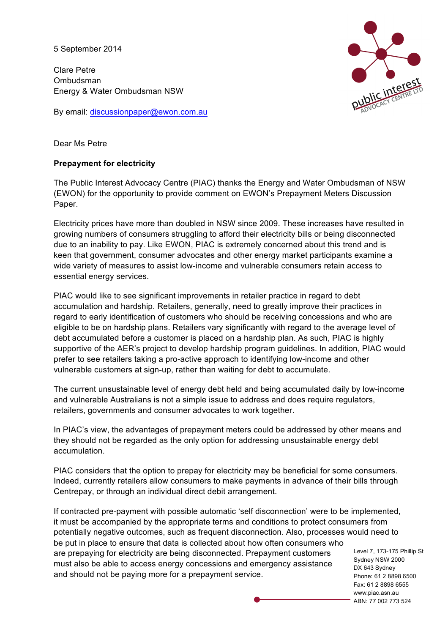5 September 2014

Clare Petre Ombudsman Energy & Water Ombudsman NSW

By email: discussionpaper@ewon.com.au



Dear Ms Petre

## **Prepayment for electricity**

The Public Interest Advocacy Centre (PIAC) thanks the Energy and Water Ombudsman of NSW (EWON) for the opportunity to provide comment on EWON's Prepayment Meters Discussion Paper.

Electricity prices have more than doubled in NSW since 2009. These increases have resulted in growing numbers of consumers struggling to afford their electricity bills or being disconnected due to an inability to pay. Like EWON, PIAC is extremely concerned about this trend and is keen that government, consumer advocates and other energy market participants examine a wide variety of measures to assist low-income and vulnerable consumers retain access to essential energy services.

PIAC would like to see significant improvements in retailer practice in regard to debt accumulation and hardship. Retailers, generally, need to greatly improve their practices in regard to early identification of customers who should be receiving concessions and who are eligible to be on hardship plans. Retailers vary significantly with regard to the average level of debt accumulated before a customer is placed on a hardship plan. As such, PIAC is highly supportive of the AER's project to develop hardship program guidelines. In addition, PIAC would prefer to see retailers taking a pro-active approach to identifying low-income and other vulnerable customers at sign-up, rather than waiting for debt to accumulate.

The current unsustainable level of energy debt held and being accumulated daily by low-income and vulnerable Australians is not a simple issue to address and does require regulators, retailers, governments and consumer advocates to work together.

In PIAC's view, the advantages of prepayment meters could be addressed by other means and they should not be regarded as the only option for addressing unsustainable energy debt accumulation.

PIAC considers that the option to prepay for electricity may be beneficial for some consumers. Indeed, currently retailers allow consumers to make payments in advance of their bills through Centrepay, or through an individual direct debit arrangement.

Sydney NSW 2000 DX 643 Sydney If contracted pre-payment with possible automatic 'self disconnection' were to be implemented, it must be accompanied by the appropriate terms and conditions to protect consumers from potentially negative outcomes, such as frequent disconnection. Also, processes would need to be put in place to ensure that data is collected about how often consumers who are prepaying for electricity are being disconnected. Prepayment customers must also be able to access energy concessions and emergency assistance and should not be paying more for a prepayment service.

Level 7, 173-175 Phillip St Phone: 61 2 8898 6500 Fax: 61 2 8898 6555 www.piac.asn.au ABN: 77 002 773 524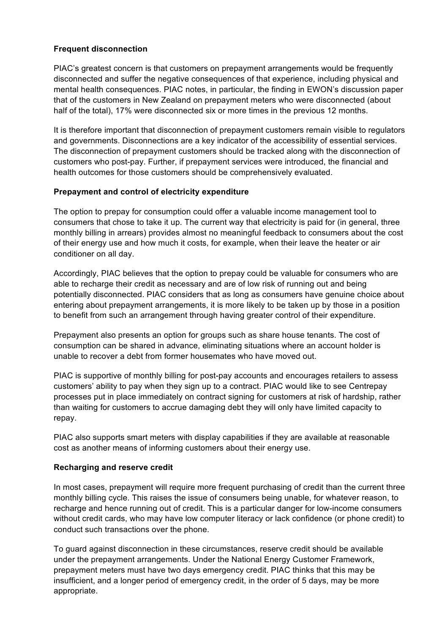# **Frequent disconnection**

PIAC's greatest concern is that customers on prepayment arrangements would be frequently disconnected and suffer the negative consequences of that experience, including physical and mental health consequences. PIAC notes, in particular, the finding in EWON's discussion paper that of the customers in New Zealand on prepayment meters who were disconnected (about half of the total), 17% were disconnected six or more times in the previous 12 months.

It is therefore important that disconnection of prepayment customers remain visible to regulators and governments. Disconnections are a key indicator of the accessibility of essential services. The disconnection of prepayment customers should be tracked along with the disconnection of customers who post-pay. Further, if prepayment services were introduced, the financial and health outcomes for those customers should be comprehensively evaluated.

## **Prepayment and control of electricity expenditure**

The option to prepay for consumption could offer a valuable income management tool to consumers that chose to take it up. The current way that electricity is paid for (in general, three monthly billing in arrears) provides almost no meaningful feedback to consumers about the cost of their energy use and how much it costs, for example, when their leave the heater or air conditioner on all day.

Accordingly, PIAC believes that the option to prepay could be valuable for consumers who are able to recharge their credit as necessary and are of low risk of running out and being potentially disconnected. PIAC considers that as long as consumers have genuine choice about entering about prepayment arrangements, it is more likely to be taken up by those in a position to benefit from such an arrangement through having greater control of their expenditure.

Prepayment also presents an option for groups such as share house tenants. The cost of consumption can be shared in advance, eliminating situations where an account holder is unable to recover a debt from former housemates who have moved out.

PIAC is supportive of monthly billing for post-pay accounts and encourages retailers to assess customers' ability to pay when they sign up to a contract. PIAC would like to see Centrepay processes put in place immediately on contract signing for customers at risk of hardship, rather than waiting for customers to accrue damaging debt they will only have limited capacity to repay.

PIAC also supports smart meters with display capabilities if they are available at reasonable cost as another means of informing customers about their energy use.

### **Recharging and reserve credit**

In most cases, prepayment will require more frequent purchasing of credit than the current three monthly billing cycle. This raises the issue of consumers being unable, for whatever reason, to recharge and hence running out of credit. This is a particular danger for low-income consumers without credit cards, who may have low computer literacy or lack confidence (or phone credit) to conduct such transactions over the phone.

To guard against disconnection in these circumstances, reserve credit should be available under the prepayment arrangements. Under the National Energy Customer Framework, prepayment meters must have two days emergency credit. PIAC thinks that this may be insufficient, and a longer period of emergency credit, in the order of 5 days, may be more appropriate.